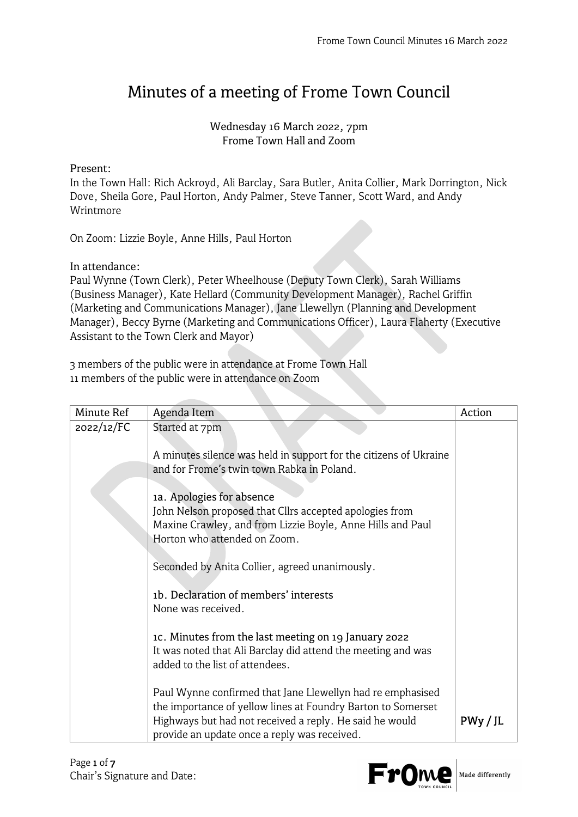## Minutes of a meeting of Frome Town Council

## Wednesday 16 March 2022, 7pm Frome Town Hall and Zoom

## Present:

In the Town Hall: Rich Ackroyd, Ali Barclay, Sara Butler, Anita Collier, Mark Dorrington, Nick Dove, Sheila Gore, Paul Horton, Andy Palmer, Steve Tanner, Scott Ward, and Andy Wrintmore

On Zoom: Lizzie Boyle, Anne Hills, Paul Horton

In attendance:

Paul Wynne (Town Clerk), Peter Wheelhouse (Deputy Town Clerk), Sarah Williams (Business Manager), Kate Hellard (Community Development Manager), Rachel Griffin (Marketing and Communications Manager), Jane Llewellyn (Planning and Development Manager), Beccy Byrne (Marketing and Communications Officer), Laura Flaherty (Executive Assistant to the Town Clerk and Mayor)

3 members of the public were in attendance at Frome Town Hall 11 members of the public were in attendance on Zoom

| Minute Ref | Agenda Item                                                                                                                | Action   |
|------------|----------------------------------------------------------------------------------------------------------------------------|----------|
| 2022/12/FC | Started at 7pm                                                                                                             |          |
|            |                                                                                                                            |          |
|            | A minutes silence was held in support for the citizens of Ukraine<br>and for Frome's twin town Rabka in Poland.            |          |
|            |                                                                                                                            |          |
|            | 1a. Apologies for absence                                                                                                  |          |
|            | John Nelson proposed that Cllrs accepted apologies from                                                                    |          |
|            | Maxine Crawley, and from Lizzie Boyle, Anne Hills and Paul                                                                 |          |
|            | Horton who attended on Zoom.                                                                                               |          |
|            | Seconded by Anita Collier, agreed unanimously.                                                                             |          |
|            |                                                                                                                            |          |
|            | 1b. Declaration of members' interests                                                                                      |          |
|            | None was received.                                                                                                         |          |
|            | 1c. Minutes from the last meeting on 19 January 2022                                                                       |          |
|            | It was noted that Ali Barclay did attend the meeting and was                                                               |          |
|            | added to the list of attendees.                                                                                            |          |
|            |                                                                                                                            |          |
|            | Paul Wynne confirmed that Jane Llewellyn had re emphasised<br>the importance of yellow lines at Foundry Barton to Somerset |          |
|            | Highways but had not received a reply. He said he would                                                                    | PWV / JL |
|            | provide an update once a reply was received.                                                                               |          |



Made differently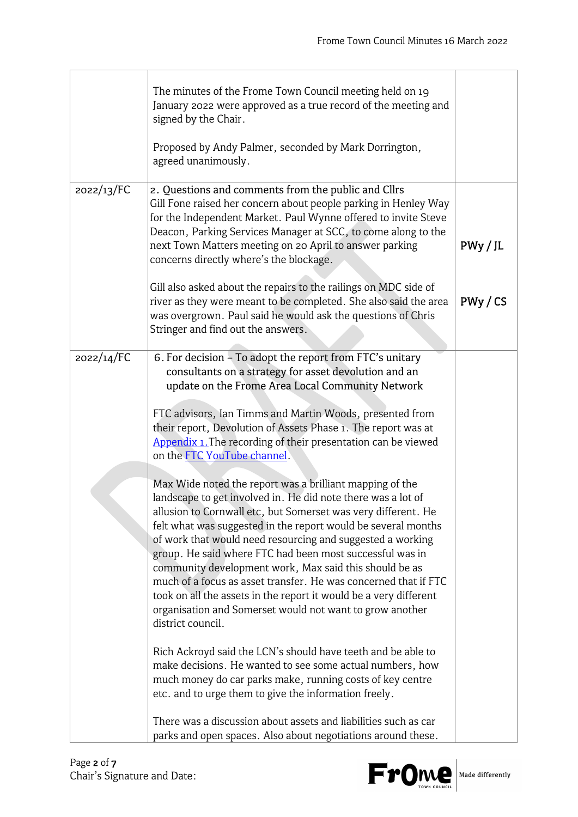|            | The minutes of the Frome Town Council meeting held on 19<br>January 2022 were approved as a true record of the meeting and<br>signed by the Chair.<br>Proposed by Andy Palmer, seconded by Mark Dorrington,<br>agreed unanimously.                                                                                                                                                                                                                                                                                                                                                                                                                                                                                                                                                                                                                                                                                                                                                                                                                                                                                                                                                                                                                                                                                                                                                                                                                                         |          |
|------------|----------------------------------------------------------------------------------------------------------------------------------------------------------------------------------------------------------------------------------------------------------------------------------------------------------------------------------------------------------------------------------------------------------------------------------------------------------------------------------------------------------------------------------------------------------------------------------------------------------------------------------------------------------------------------------------------------------------------------------------------------------------------------------------------------------------------------------------------------------------------------------------------------------------------------------------------------------------------------------------------------------------------------------------------------------------------------------------------------------------------------------------------------------------------------------------------------------------------------------------------------------------------------------------------------------------------------------------------------------------------------------------------------------------------------------------------------------------------------|----------|
| 2022/13/FC | 2. Questions and comments from the public and Cllrs                                                                                                                                                                                                                                                                                                                                                                                                                                                                                                                                                                                                                                                                                                                                                                                                                                                                                                                                                                                                                                                                                                                                                                                                                                                                                                                                                                                                                        |          |
|            | Gill Fone raised her concern about people parking in Henley Way<br>for the Independent Market. Paul Wynne offered to invite Steve<br>Deacon, Parking Services Manager at SCC, to come along to the<br>next Town Matters meeting on 20 April to answer parking<br>concerns directly where's the blockage.                                                                                                                                                                                                                                                                                                                                                                                                                                                                                                                                                                                                                                                                                                                                                                                                                                                                                                                                                                                                                                                                                                                                                                   | PWy / JL |
|            | Gill also asked about the repairs to the railings on MDC side of<br>river as they were meant to be completed. She also said the area<br>was overgrown. Paul said he would ask the questions of Chris<br>Stringer and find out the answers.                                                                                                                                                                                                                                                                                                                                                                                                                                                                                                                                                                                                                                                                                                                                                                                                                                                                                                                                                                                                                                                                                                                                                                                                                                 | PWy / CS |
| 2022/14/FC | 6. For decision - To adopt the report from FTC's unitary<br>consultants on a strategy for asset devolution and an<br>update on the Frome Area Local Community Network<br>FTC advisors, Ian Timms and Martin Woods, presented from<br>their report, Devolution of Assets Phase 1. The report was at<br>Appendix 1. The recording of their presentation can be viewed<br>on the <b>FTC</b> YouTube channel.<br>Max Wide noted the report was a brilliant mapping of the<br>landscape to get involved in. He did note there was a lot of<br>allusion to Cornwall etc, but Somerset was very different. He<br>felt what was suggested in the report would be several months<br>of work that would need resourcing and suggested a working<br>group. He said where FTC had been most successful was in<br>community development work, Max said this should be as<br>much of a focus as asset transfer. He was concerned that if FTC<br>took on all the assets in the report it would be a very different<br>organisation and Somerset would not want to grow another<br>district council.<br>Rich Ackroyd said the LCN's should have teeth and be able to<br>make decisions. He wanted to see some actual numbers, how<br>much money do car parks make, running costs of key centre<br>etc. and to urge them to give the information freely.<br>There was a discussion about assets and liabilities such as car<br>parks and open spaces. Also about negotiations around these. |          |

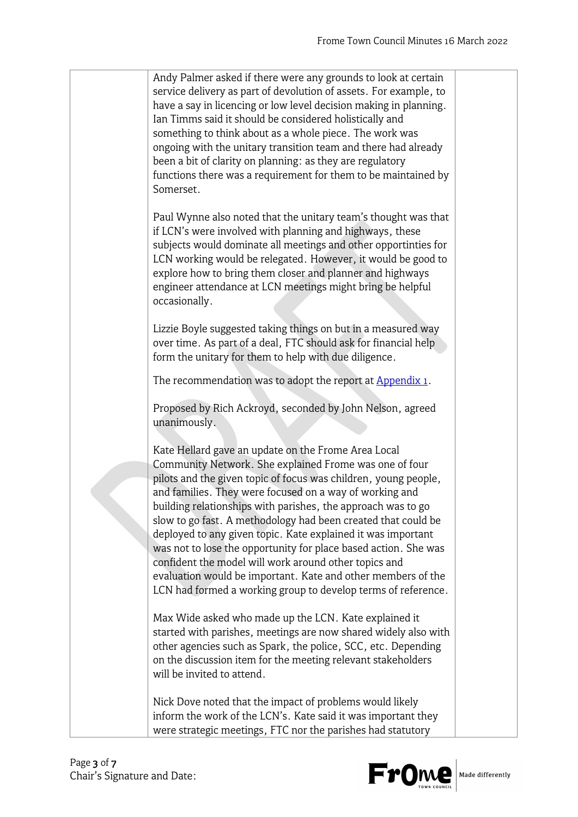| Andy Palmer asked if there were any grounds to look at certain<br>service delivery as part of devolution of assets. For example, to<br>have a say in licencing or low level decision making in planning.<br>Ian Timms said it should be considered holistically and<br>something to think about as a whole piece. The work was<br>ongoing with the unitary transition team and there had already<br>been a bit of clarity on planning: as they are regulatory<br>functions there was a requirement for them to be maintained by<br>Somerset.                                                                                                                                                              |  |
|-----------------------------------------------------------------------------------------------------------------------------------------------------------------------------------------------------------------------------------------------------------------------------------------------------------------------------------------------------------------------------------------------------------------------------------------------------------------------------------------------------------------------------------------------------------------------------------------------------------------------------------------------------------------------------------------------------------|--|
| Paul Wynne also noted that the unitary team's thought was that<br>if LCN's were involved with planning and highways, these<br>subjects would dominate all meetings and other opportinties for<br>LCN working would be relegated. However, it would be good to<br>explore how to bring them closer and planner and highways<br>engineer attendance at LCN meetings might bring be helpful<br>occasionally.                                                                                                                                                                                                                                                                                                 |  |
| Lizzie Boyle suggested taking things on but in a measured way<br>over time. As part of a deal, FTC should ask for financial help<br>form the unitary for them to help with due diligence.                                                                                                                                                                                                                                                                                                                                                                                                                                                                                                                 |  |
| The recommendation was to adopt the report at Appendix 1.                                                                                                                                                                                                                                                                                                                                                                                                                                                                                                                                                                                                                                                 |  |
| Proposed by Rich Ackroyd, seconded by John Nelson, agreed<br>unanimously.                                                                                                                                                                                                                                                                                                                                                                                                                                                                                                                                                                                                                                 |  |
| Kate Hellard gave an update on the Frome Area Local<br>Community Network. She explained Frome was one of four<br>pilots and the given topic of focus was children, young people,<br>and families. They were focused on a way of working and<br>building relationships with parishes, the approach was to go<br>slow to go fast. A methodology had been created that could be<br>deployed to any given topic. Kate explained it was important<br>was not to lose the opportunity for place based action. She was<br>confident the model will work around other topics and<br>evaluation would be important. Kate and other members of the<br>LCN had formed a working group to develop terms of reference. |  |
| Max Wide asked who made up the LCN. Kate explained it<br>started with parishes, meetings are now shared widely also with<br>other agencies such as Spark, the police, SCC, etc. Depending<br>on the discussion item for the meeting relevant stakeholders<br>will be invited to attend.                                                                                                                                                                                                                                                                                                                                                                                                                   |  |
| Nick Dove noted that the impact of problems would likely<br>inform the work of the LCN's. Kate said it was important they<br>were strategic meetings, FTC nor the parishes had statutory                                                                                                                                                                                                                                                                                                                                                                                                                                                                                                                  |  |

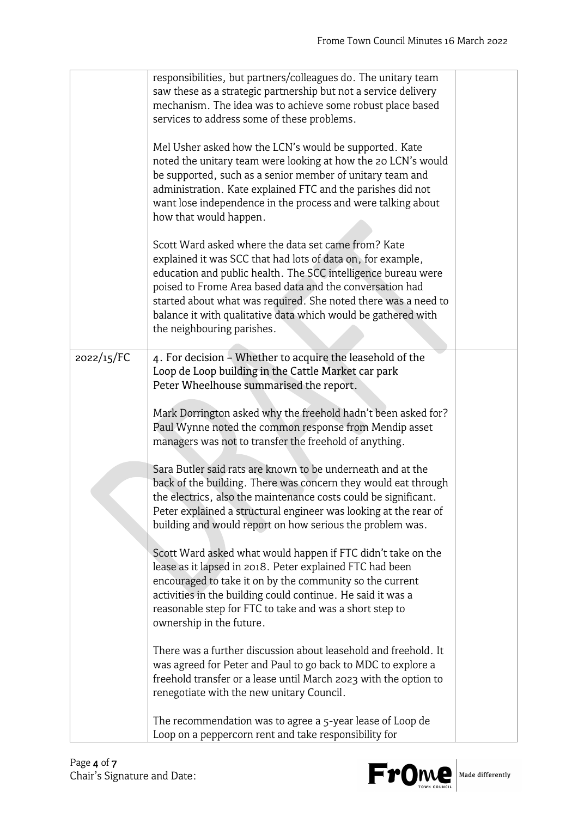|            | responsibilities, but partners/colleagues do. The unitary team<br>saw these as a strategic partnership but not a service delivery<br>mechanism. The idea was to achieve some robust place based                                                                                                                                                                                                                                                                                                                                                                                                                                                                                                                   |  |
|------------|-------------------------------------------------------------------------------------------------------------------------------------------------------------------------------------------------------------------------------------------------------------------------------------------------------------------------------------------------------------------------------------------------------------------------------------------------------------------------------------------------------------------------------------------------------------------------------------------------------------------------------------------------------------------------------------------------------------------|--|
|            | services to address some of these problems.<br>Mel Usher asked how the LCN's would be supported. Kate<br>noted the unitary team were looking at how the 20 LCN's would<br>be supported, such as a senior member of unitary team and<br>administration. Kate explained FTC and the parishes did not<br>want lose independence in the process and were talking about<br>how that would happen.<br>Scott Ward asked where the data set came from? Kate<br>explained it was SCC that had lots of data on, for example,<br>education and public health. The SCC intelligence bureau were<br>poised to Frome Area based data and the conversation had<br>started about what was required. She noted there was a need to |  |
|            | balance it with qualitative data which would be gathered with<br>the neighbouring parishes.                                                                                                                                                                                                                                                                                                                                                                                                                                                                                                                                                                                                                       |  |
| 2022/15/FC | 4. For decision - Whether to acquire the leasehold of the<br>Loop de Loop building in the Cattle Market car park<br>Peter Wheelhouse summarised the report.                                                                                                                                                                                                                                                                                                                                                                                                                                                                                                                                                       |  |
|            | Mark Dorrington asked why the freehold hadn't been asked for?<br>Paul Wynne noted the common response from Mendip asset<br>managers was not to transfer the freehold of anything.                                                                                                                                                                                                                                                                                                                                                                                                                                                                                                                                 |  |
|            | Sara Butler said rats are known to be underneath and at the<br>back of the building. There was concern they would eat through<br>the electrics, also the maintenance costs could be significant.<br>Peter explained a structural engineer was looking at the rear of<br>building and would report on how serious the problem was.                                                                                                                                                                                                                                                                                                                                                                                 |  |
|            | Scott Ward asked what would happen if FTC didn't take on the<br>lease as it lapsed in 2018. Peter explained FTC had been<br>encouraged to take it on by the community so the current<br>activities in the building could continue. He said it was a<br>reasonable step for FTC to take and was a short step to<br>ownership in the future.                                                                                                                                                                                                                                                                                                                                                                        |  |
|            | There was a further discussion about leasehold and freehold. It<br>was agreed for Peter and Paul to go back to MDC to explore a<br>freehold transfer or a lease until March 2023 with the option to<br>renegotiate with the new unitary Council.                                                                                                                                                                                                                                                                                                                                                                                                                                                                  |  |
|            | The recommendation was to agree a 5-year lease of Loop de<br>Loop on a peppercorn rent and take responsibility for                                                                                                                                                                                                                                                                                                                                                                                                                                                                                                                                                                                                |  |

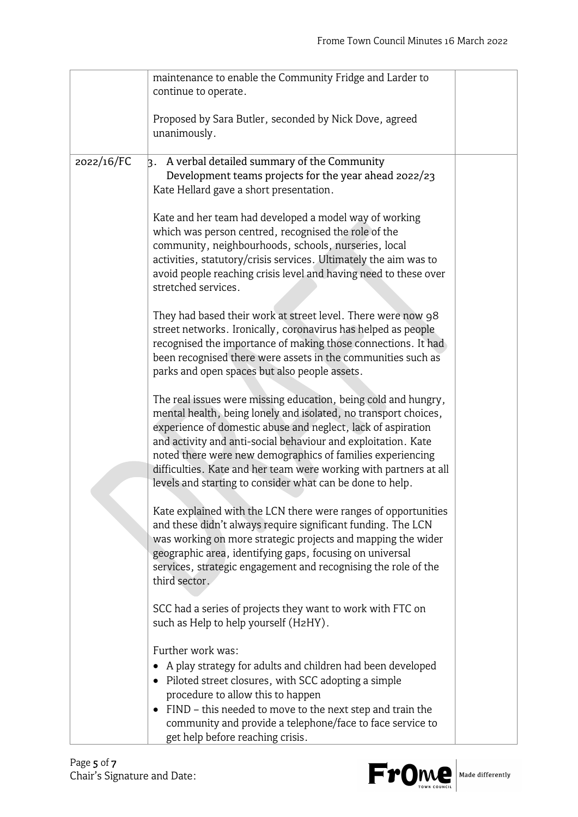|            | maintenance to enable the Community Fridge and Larder to                                |  |
|------------|-----------------------------------------------------------------------------------------|--|
|            | continue to operate.                                                                    |  |
|            |                                                                                         |  |
|            | Proposed by Sara Butler, seconded by Nick Dove, agreed                                  |  |
|            | unanimously.                                                                            |  |
|            |                                                                                         |  |
| 2022/16/FC | A verbal detailed summary of the Community<br>k.                                        |  |
|            | Development teams projects for the year ahead 2022/23                                   |  |
|            | Kate Hellard gave a short presentation.                                                 |  |
|            |                                                                                         |  |
|            | Kate and her team had developed a model way of working                                  |  |
|            | which was person centred, recognised the role of the                                    |  |
|            | community, neighbourhoods, schools, nurseries, local                                    |  |
|            | activities, statutory/crisis services. Ultimately the aim was to                        |  |
|            | avoid people reaching crisis level and having need to these over<br>stretched services. |  |
|            |                                                                                         |  |
|            | They had based their work at street level. There were now 98                            |  |
|            | street networks. Ironically, coronavirus has helped as people                           |  |
|            | recognised the importance of making those connections. It had                           |  |
|            | been recognised there were assets in the communities such as                            |  |
|            | parks and open spaces but also people assets.                                           |  |
|            |                                                                                         |  |
|            | The real issues were missing education, being cold and hungry,                          |  |
|            | mental health, being lonely and isolated, no transport choices,                         |  |
|            | experience of domestic abuse and neglect, lack of aspiration                            |  |
|            | and activity and anti-social behaviour and exploitation. Kate                           |  |
|            | noted there were new demographics of families experiencing                              |  |
|            | difficulties. Kate and her team were working with partners at all                       |  |
|            | levels and starting to consider what can be done to help.                               |  |
|            | Kate explained with the LCN there were ranges of opportunities                          |  |
|            | and these didn't always require significant funding. The LCN                            |  |
|            | was working on more strategic projects and mapping the wider                            |  |
|            | geographic area, identifying gaps, focusing on universal                                |  |
|            | services, strategic engagement and recognising the role of the                          |  |
|            | third sector.                                                                           |  |
|            |                                                                                         |  |
|            | SCC had a series of projects they want to work with FTC on                              |  |
|            | such as Help to help yourself (H2HY).                                                   |  |
|            |                                                                                         |  |
|            | Further work was:                                                                       |  |
|            | A play strategy for adults and children had been developed                              |  |
|            | Piloted street closures, with SCC adopting a simple<br>$\bullet$                        |  |
|            | procedure to allow this to happen                                                       |  |
|            | FIND - this needed to move to the next step and train the                               |  |
|            | community and provide a telephone/face to face service to                               |  |
|            | get help before reaching crisis.                                                        |  |

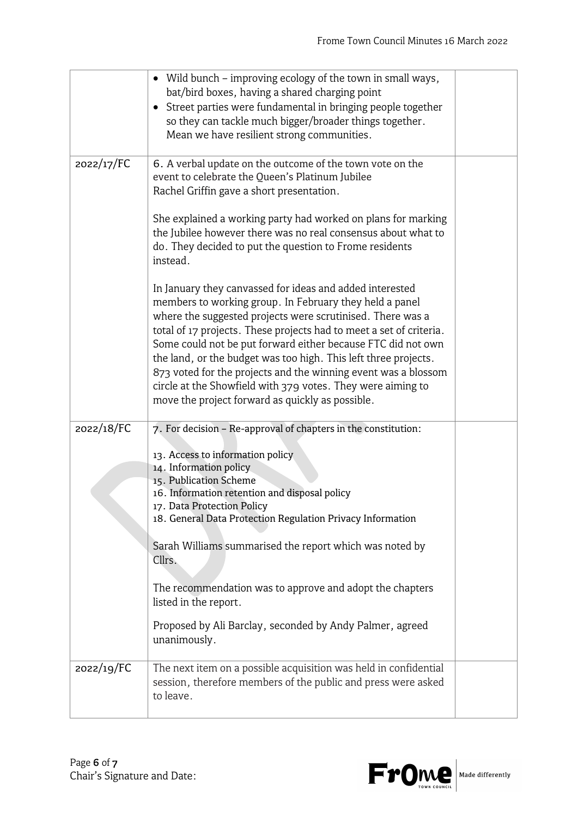|            | Wild bunch - improving ecology of the town in small ways,<br>bat/bird boxes, having a shared charging point<br>Street parties were fundamental in bringing people together<br>$\bullet$<br>so they can tackle much bigger/broader things together.<br>Mean we have resilient strong communities.                                                                                                                                                                                                                                                                                 |  |
|------------|----------------------------------------------------------------------------------------------------------------------------------------------------------------------------------------------------------------------------------------------------------------------------------------------------------------------------------------------------------------------------------------------------------------------------------------------------------------------------------------------------------------------------------------------------------------------------------|--|
| 2022/17/FC | 6. A verbal update on the outcome of the town vote on the<br>event to celebrate the Queen's Platinum Jubilee<br>Rachel Griffin gave a short presentation.                                                                                                                                                                                                                                                                                                                                                                                                                        |  |
|            | She explained a working party had worked on plans for marking<br>the Jubilee however there was no real consensus about what to<br>do. They decided to put the question to Frome residents<br>instead.                                                                                                                                                                                                                                                                                                                                                                            |  |
|            | In January they canvassed for ideas and added interested<br>members to working group. In February they held a panel<br>where the suggested projects were scrutinised. There was a<br>total of 17 projects. These projects had to meet a set of criteria.<br>Some could not be put forward either because FTC did not own<br>the land, or the budget was too high. This left three projects.<br>873 voted for the projects and the winning event was a blossom<br>circle at the Showfield with 379 votes. They were aiming to<br>move the project forward as quickly as possible. |  |
| 2022/18/FC | 7. For decision - Re-approval of chapters in the constitution:<br>13. Access to information policy<br>14. Information policy<br>15. Publication Scheme<br>16. Information retention and disposal policy<br>17. Data Protection Policy<br>18. General Data Protection Regulation Privacy Information                                                                                                                                                                                                                                                                              |  |
|            | Sarah Williams summarised the report which was noted by<br>Cllrs.<br>The recommendation was to approve and adopt the chapters                                                                                                                                                                                                                                                                                                                                                                                                                                                    |  |
|            | listed in the report.<br>Proposed by Ali Barclay, seconded by Andy Palmer, agreed<br>unanimously.                                                                                                                                                                                                                                                                                                                                                                                                                                                                                |  |
| 2022/19/FC | The next item on a possible acquisition was held in confidential<br>session, therefore members of the public and press were asked<br>to leave.                                                                                                                                                                                                                                                                                                                                                                                                                                   |  |